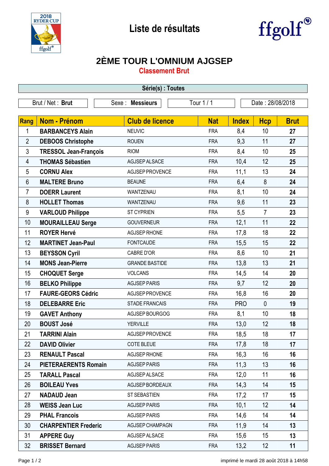



## **2ÈME TOUR L'OMNIUM AJGSEP**

**Classement Brut**

| Série(s) : Toutes |                              |                        |            |                  |                |             |  |  |  |
|-------------------|------------------------------|------------------------|------------|------------------|----------------|-------------|--|--|--|
|                   | Brut / Net: Brut             | Sexe : Messieurs       | Tour 1/1   | Date: 28/08/2018 |                |             |  |  |  |
|                   |                              |                        |            |                  |                |             |  |  |  |
| Rang              | <b>Nom - Prénom</b>          | <b>Club de licence</b> | <b>Nat</b> | <b>Index</b>     | <b>Hcp</b>     | <b>Brut</b> |  |  |  |
| 1                 | <b>BARBANCEYS Alain</b>      | <b>NEUVIC</b>          | <b>FRA</b> | 8,4              | 10             | 27          |  |  |  |
| $\overline{2}$    | <b>DEBOOS Christophe</b>     | <b>ROUEN</b>           | <b>FRA</b> | 9,3              | 11             | 27          |  |  |  |
| 3                 | <b>TRESSOL Jean-François</b> | <b>RIOM</b>            | <b>FRA</b> | 8,4              | 10             | 25          |  |  |  |
| 4                 | <b>THOMAS Sébastien</b>      | AGJSEP ALSACE          | <b>FRA</b> | 10,4             | 12             | 25          |  |  |  |
| 5                 | <b>CORNU Alex</b>            | AGJSEP PROVENCE        | <b>FRA</b> | 11,1             | 13             | 24          |  |  |  |
| 6                 | <b>MALTERE Bruno</b>         | <b>BEAUNE</b>          | <b>FRA</b> | 6,4              | 8              | 24          |  |  |  |
| $\overline{7}$    | <b>DOERR Laurent</b>         | WANTZENAU              | <b>FRA</b> | 8,1              | 10             | 24          |  |  |  |
| 8                 | <b>HOLLET Thomas</b>         | WANTZENAU              | <b>FRA</b> | 9,6              | 11             | 23          |  |  |  |
| 9                 | <b>VARLOUD Philippe</b>      | <b>ST CYPRIEN</b>      | <b>FRA</b> | 5,5              | $\overline{7}$ | 23          |  |  |  |
| 10                | <b>MOURAILLEAU Serge</b>     | <b>GOUVERNEUR</b>      | <b>FRA</b> | 12,1             | 11             | 22          |  |  |  |
| 11                | <b>ROYER Hervé</b>           | <b>AGJSEP RHONE</b>    | <b>FRA</b> | 17,8             | 18             | 22          |  |  |  |
| 12                | <b>MARTINET Jean-Paul</b>    | <b>FONTCAUDE</b>       | <b>FRA</b> | 15,5             | 15             | 22          |  |  |  |
| 13                | <b>BEYSSON Cyril</b>         | CABRE D'OR             | <b>FRA</b> | 8,6              | 10             | 21          |  |  |  |
| 14                | <b>MONS Jean-Pierre</b>      | <b>GRANDE BASTIDE</b>  | <b>FRA</b> | 13,8             | 13             | 21          |  |  |  |
| 15                | <b>CHOQUET Serge</b>         | <b>VOLCANS</b>         | <b>FRA</b> | 14,5             | 14             | 20          |  |  |  |
| 16                | <b>BELKO Philippe</b>        | <b>AGJSEP PARIS</b>    | <b>FRA</b> | 9,7              | 12             | 20          |  |  |  |
| 17                | <b>FAURE-GEORS Cédric</b>    | AGJSEP PROVENCE        | <b>FRA</b> | 16,8             | 16             | 20          |  |  |  |
| 18                | <b>DELEBARRE Eric</b>        | <b>STADE FRANCAIS</b>  | <b>FRA</b> | <b>PRO</b>       | $\mathbf{0}$   | 19          |  |  |  |
| 19                | <b>GAVET Anthony</b>         | AGJSEP BOURGOG         | <b>FRA</b> | 8,1              | 10             | 18          |  |  |  |
| 20                | <b>BOUST José</b>            | <b>YERVILLE</b>        | <b>FRA</b> | 13,0             | 12             | 18          |  |  |  |
| 21                | <b>TARRINI Alain</b>         | <b>AGJSEP PROVENCE</b> | <b>FRA</b> | 18,5             | 18             | 17          |  |  |  |
| 22                | <b>DAVID Olivier</b>         | COTE BLEUE             | <b>FRA</b> | 17,8             | 18             | 17          |  |  |  |
| 23                | <b>RENAULT Pascal</b>        | AGJSEP RHONE           | <b>FRA</b> | 16,3             | 16             | 16          |  |  |  |
| 24                | <b>PIETERAERENTS Romain</b>  | <b>AGJSEP PARIS</b>    | <b>FRA</b> | 11,3             | 13             | 16          |  |  |  |
| 25                | <b>TARALL Pascal</b>         | AGJSEP ALSACE          | <b>FRA</b> | 12,0             | 11             | 16          |  |  |  |
| 26                | <b>BOILEAU Yves</b>          | AGJSEP BORDEAUX        | <b>FRA</b> | 14,3             | 14             | 15          |  |  |  |
| 27                | <b>NADAUD Jean</b>           | ST SEBASTIEN           | <b>FRA</b> | 17,2             | 17             | 15          |  |  |  |
| 28                | <b>WEISS Jean Luc</b>        | <b>AGJSEP PARIS</b>    | <b>FRA</b> | 10,1             | 12             | 14          |  |  |  |
| 29                | <b>PHAL Francois</b>         | <b>AGJSEP PARIS</b>    | <b>FRA</b> | 14,6             | 14             | 14          |  |  |  |
| 30                | <b>CHARPENTIER Frederic</b>  | <b>AGJSEP CHAMPAGN</b> | <b>FRA</b> | 11,9             | 14             | 13          |  |  |  |
| 31                | <b>APPERE Guy</b>            | AGJSEP ALSACE          | <b>FRA</b> | 15,6             | 15             | 13          |  |  |  |
| 32                | <b>BRISSET Bernard</b>       | <b>AGJSEP PARIS</b>    | <b>FRA</b> | 13,2             | 12             | 11          |  |  |  |